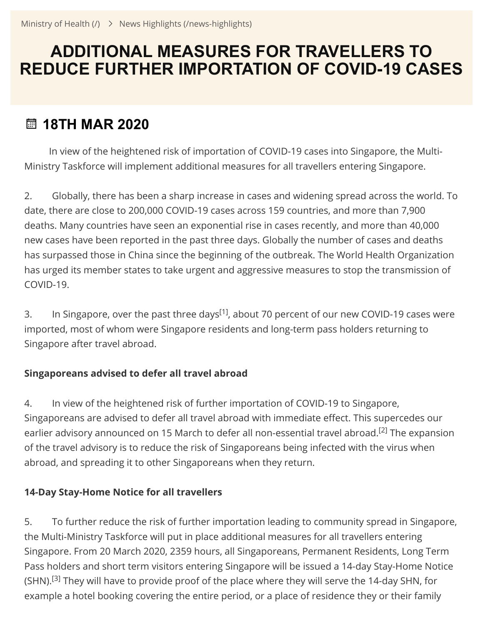# **ADDITIONAL MEASURES FOR TRAVELLERS TO REDUCE FURTHER IMPORTATION OF COVID-19 CASES**

## **18TH MAR 2020**

 In view of the heightened risk of importation of COVID-19 cases into Singapore, the Multi-Ministry Taskforce will implement additional measures for all travellers entering Singapore.

2. Globally, there has been a sharp increase in cases and widening spread across the world. To date, there are close to 200,000 COVID-19 cases across 159 countries, and more than 7,900 deaths. Many countries have seen an exponential rise in cases recently, and more than 40,000 new cases have been reported in the past three days. Globally the number of cases and deaths has surpassed those in China since the beginning of the outbreak. The World Health Organization has urged its member states to take urgent and aggressive measures to stop the transmission of COVID-19.

3. In Singapore, over the past three days<sup>[1]</sup>, about 70 percent of our new COVID-19 cases were imported, most of whom were Singapore residents and long-term pass holders returning to Singapore after travel abroad.

## **Singaporeans advised to defer all travel abroad**

4. In view of the heightened risk of further importation of COVID-19 to Singapore, Singaporeans are advised to defer all travel abroad with immediate effect. This supercedes our earlier advisory announced on 15 March to defer all non-essential travel abroad.<sup>[2]</sup> The expansion of the travel advisory is to reduce the risk of Singaporeans being infected with the virus when abroad, and spreading it to other Singaporeans when they return.

## **14-Day Stay-Home Notice for all travellers**

5. To further reduce the risk of further importation leading to community spread in Singapore, the Multi-Ministry Taskforce will put in place additional measures for all travellers entering Singapore. From 20 March 2020, 2359 hours, all Singaporeans, Permanent Residents, Long Term Pass holders and short term visitors entering Singapore will be issued a 14-day Stay-Home Notice (SHN).<sup>[3]</sup> They will have to provide proof of the place where they will serve the 14-day SHN, for example a hotel booking covering the entire period, or a place of residence they or their family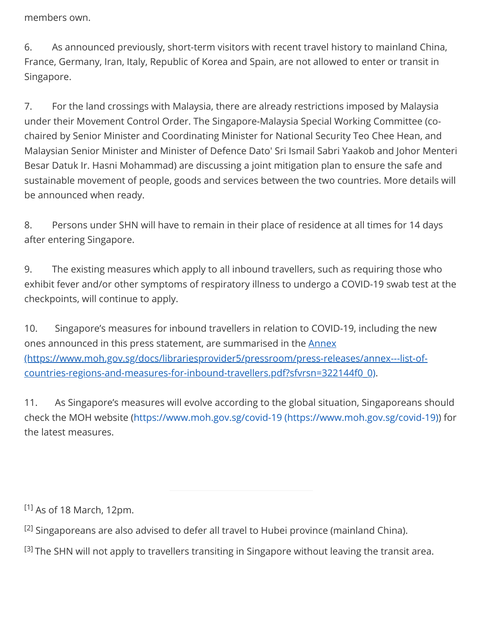members own.

6. As announced previously, short-term visitors with recent travel history to mainland China, France, Germany, Iran, Italy, Republic of Korea and Spain, are not allowed to enter or transit in Singapore.

7. For the land crossings with Malaysia, there are already restrictions imposed by Malaysia under their Movement Control Order. The Singapore-Malaysia Special Working Committee (cochaired by Senior Minister and Coordinating Minister for National Security Teo Chee Hean, and Malaysian Senior Minister and Minister of Defence Dato' Sri Ismail Sabri Yaakob and Johor Menteri Besar Datuk Ir. Hasni Mohammad) are discussing a joint mitigation plan to ensure the safe and sustainable movement of people, goods and services between the two countries. More details will be announced when ready.

8. Persons under SHN will have to remain in their place of residence at all times for 14 days after entering Singapore.

9. The existing measures which apply to all inbound travellers, such as requiring those who exhibit fever and/or other symptoms of respiratory illness to undergo a COVID-19 swab test at the checkpoints, will continue to apply.

10. Singapore's measures for inbound travellers in relation to COVID-19, including the new ones announced in this press statement, are summarised in the **Annex** [\(https://www.moh.gov.sg/docs/librariesprovider5/pressroom/press-releases/annex---list-of](https://www.moh.gov.sg/docs/librariesprovider5/pressroom/press-releases/annex---list-of-countries-regions-and-measures-for-inbound-travellers.pdf?sfvrsn=322144f0_0)countries-regions-and-measures-for-inbound-travellers.pdf?sfvrsn=322144f0\_0).

11. As Singapore's measures will evolve according to the global situation, Singaporeans should check the MOH website [\(https://www.moh.gov.sg/covid-19 \(https://www.moh.gov.sg/covid-19\)\)](https://www.moh.gov.sg/covid-19) for the latest measures.

<sup>[1]</sup> As of 18 March, 12pm.

 $^{[2]}$  Singaporeans are also advised to defer all travel to Hubei province (mainland China).

 $^{[3]}$  The SHN will not apply to travellers transiting in Singapore without leaving the transit area.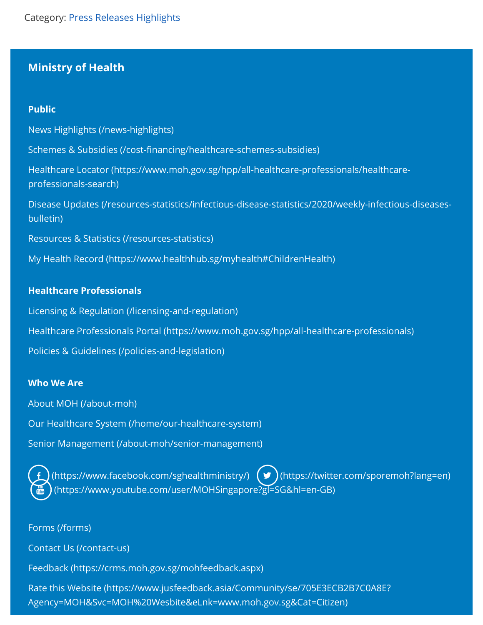### **Ministry of Health**

#### **Public**

News Highlights [\(/news-highlights\)](https://www.moh.gov.sg/news-highlights) Schemes & Subsidies (/cost-financing/healthcare-schemes-subsidies) Healthcare Locator [\(https://www.moh.gov.sg/hpp/all-healthcare-professionals/healthcare](https://www.moh.gov.sg/hpp/all-healthcare-professionals/healthcare-professionals-search)professionals-search) Disease Updates [\(/resources-statistics/infectious-disease-statistics/2020/weekly-infectious-diseases](https://www.moh.gov.sg/resources-statistics/infectious-disease-statistics/2020/weekly-infectious-diseases-bulletin)bulletin) Resources & Statistics [\(/resources-statistics\)](https://www.moh.gov.sg/resources-statistics) My Health Record [\(https://www.healthhub.sg/myhealth#ChildrenHealth\)](https://www.healthhub.sg/myhealth#ChildrenHealth)

#### **Healthcare Professionals**

Licensing & Regulation [\(/licensing-and-regulation\)](https://www.moh.gov.sg/licensing-and-regulation) Healthcare Professionals Portal [\(https://www.moh.gov.sg/hpp/all-healthcare-professionals\)](https://www.moh.gov.sg/hpp/all-healthcare-professionals) Policies & Guidelines [\(/policies-and-legislation\)](https://www.moh.gov.sg/policies-and-legislation)

#### **Who We Are**

About MOH [\(/about-moh\)](https://www.moh.gov.sg/about-moh)

Our Healthcare System [\(/home/our-healthcare-system\)](https://www.moh.gov.sg/home/our-healthcare-system)

Senior Management [\(/about-moh/senior-management\)](https://www.moh.gov.sg/about-moh/senior-management)

[\(https://www.facebook.com/sghealthministry/\)](https://www.facebook.com/sghealthministry/)  $(\bullet)$  [\(https://twitter.com/sporemoh?lang=en\)](https://twitter.com/sporemoh?lang=en) [\(https://www.youtube.com/user/MOHSingapore?gl=SG&hl=en-GB\)](https://www.youtube.com/user/MOHSingapore?gl=SG&hl=en-GB)

Forms [\(/forms\)](https://www.moh.gov.sg/forms)

Contact Us [\(/contact-us\)](https://www.moh.gov.sg/contact-us)

Feedback [\(https://crms.moh.gov.sg/mohfeedback.aspx\)](https://crms.moh.gov.sg/mohfeedback.aspx)

Rate this Website (https://www.jusfeedback.asia/Community/se/705E3ECB2B7C0A8E? [Agency=MOH&Svc=MOH%20Wesbite&eLnk=www.moh.gov.sg&Cat=Citizen\)](https://www.jusfeedback.asia/Community/se/705E3ECB2B7C0A8E?Agency=MOH&Svc=MOH%20Wesbite&eLnk=www.moh.gov.sg&Cat=Citizen)